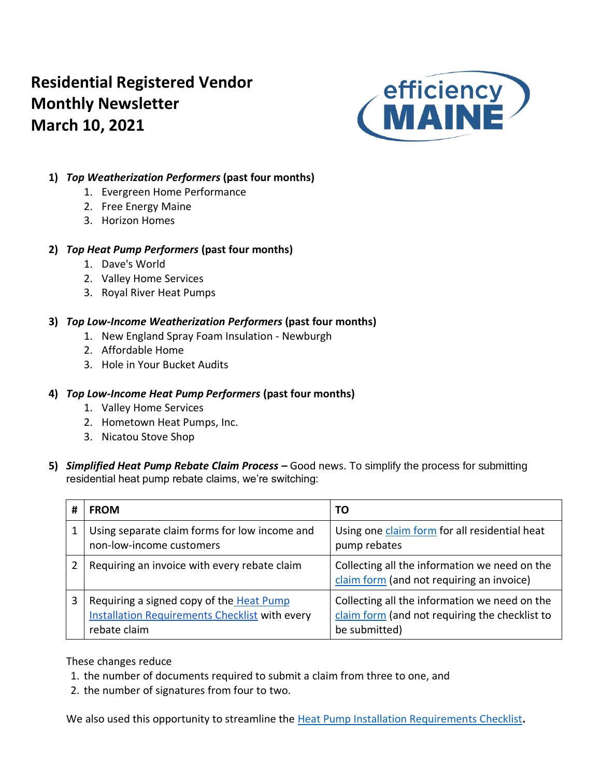# **Residential Registered Vendor Monthly Newsletter March 10, 2021**



# **1)** *Top Weatherization Performers* **(past four months)**

- 1. Evergreen Home Performance
- 2. Free Energy Maine
- 3. Horizon Homes

# **2)** *Top Heat Pump Performers* **(past four months)**

- 1. Dave's World
- 2. Valley Home Services
- 3. Royal River Heat Pumps

# **3)** *Top Low-Income Weatherization Performers* **(past four months)**

- 1. New England Spray Foam Insulation Newburgh
- 2. Affordable Home
- 3. Hole in Your Bucket Audits

# **4)** *Top Low-Income Heat Pump Performers* **(past four months)**

- 1. Valley Home Services
- 2. Hometown Heat Pumps, Inc.
- 3. Nicatou Stove Shop
- **5)** *Simplified Heat Pump Rebate Claim Process –* Good news. To simplify the process for submitting residential heat pump rebate claims, we're switching:

| # | <b>FROM</b>                                                                                                       | TO                                                                                                               |
|---|-------------------------------------------------------------------------------------------------------------------|------------------------------------------------------------------------------------------------------------------|
|   | Using separate claim forms for low income and<br>non-low-income customers                                         | Using one claim form for all residential heat<br>pump rebates                                                    |
| 2 | Requiring an invoice with every rebate claim                                                                      | Collecting all the information we need on the<br>claim form (and not requiring an invoice)                       |
| 3 | Requiring a signed copy of the Heat Pump<br><b>Installation Requirements Checklist with every</b><br>rebate claim | Collecting all the information we need on the<br>claim form (and not requiring the checklist to<br>be submitted) |

These changes reduce

- 1. the number of documents required to submit a claim from three to one, and
- 2. the number of signatures from four to two.

We also used this opportunity to streamline the [Heat Pump Installation Requirements Checklist](https://www.efficiencymaine.com/docs/Residential-Heat-Pump-Installation-Checklist.pdf)**.**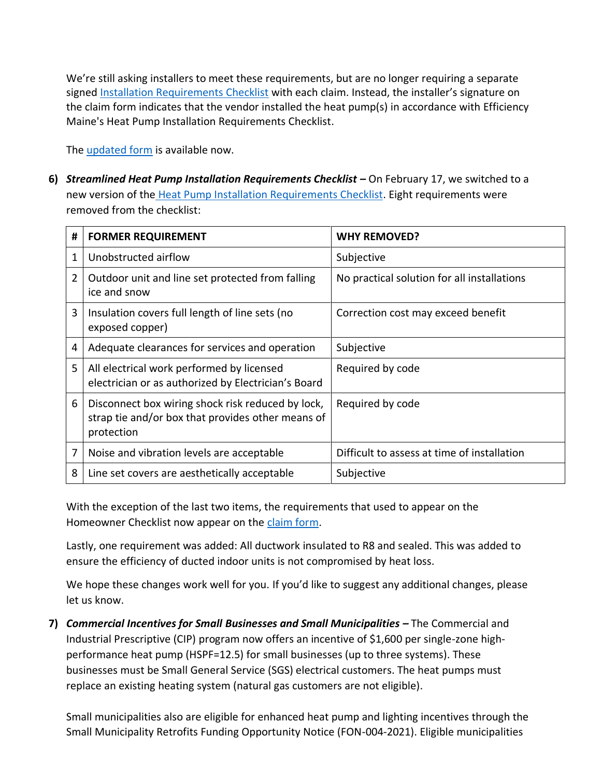We're still asking installers to meet these requirements, but are no longer requiring a separate signed [Installation Requirements Checklist](https://www.efficiencymaine.com/docs/Residential-Heat-Pump-Installation-Checklist.pdf) with each claim. Instead, the installer's signature on the claim form indicates that the vendor installed the heat pump(s) in accordance with Efficiency Maine's Heat Pump Installation Requirements Checklist.

The [updated form](https://www.efficiencymaine.com/docs/Residential-Heat-Pump-Rebate-Claim-Form.pdf) is available now.

**6)** *Streamlined Heat Pump Installation Requirements Checklist –* On February 17, we switched to a new version of the [Heat Pump Installation Requirements Checklist.](https://www.efficiencymaine.com/docs/Residential-Heat-Pump-Installation-Checklist.pdf) Eight requirements were removed from the checklist:

| #              | <b>FORMER REQUIREMENT</b>                                                                                            | <b>WHY REMOVED?</b>                         |
|----------------|----------------------------------------------------------------------------------------------------------------------|---------------------------------------------|
| 1              | Unobstructed airflow                                                                                                 | Subjective                                  |
| $\overline{2}$ | Outdoor unit and line set protected from falling<br>ice and snow                                                     | No practical solution for all installations |
| 3              | Insulation covers full length of line sets (no<br>exposed copper)                                                    | Correction cost may exceed benefit          |
| 4              | Adequate clearances for services and operation                                                                       | Subjective                                  |
| 5              | All electrical work performed by licensed<br>electrician or as authorized by Electrician's Board                     | Required by code                            |
| 6              | Disconnect box wiring shock risk reduced by lock,<br>strap tie and/or box that provides other means of<br>protection | Required by code                            |
| 7              | Noise and vibration levels are acceptable                                                                            | Difficult to assess at time of installation |
| 8              | Line set covers are aesthetically acceptable                                                                         | Subjective                                  |

With the exception of the last two items, the requirements that used to appear on the Homeowner Checklist now appear on the [claim form.](https://www.efficiencymaine.com/docs/Residential-Heat-Pump-Rebate-Claim-Form.pdf)

Lastly, one requirement was added: All ductwork insulated to R8 and sealed. This was added to ensure the efficiency of ducted indoor units is not compromised by heat loss.

We hope these changes work well for you. If you'd like to suggest any additional changes, please let us know.

**7)** *Commercial Incentives for Small Businesses and Small Municipalities –* The Commercial and Industrial Prescriptive (CIP) program now offers an incentive of \$1,600 per single-zone highperformance heat pump (HSPF=12.5) for small businesses (up to three systems). These businesses must be Small General Service (SGS) electrical customers. The heat pumps must replace an existing heating system (natural gas customers are not eligible).

Small municipalities also are eligible for enhanced heat pump and lighting incentives through the Small Municipality Retrofits Funding Opportunity Notice (FON-004-2021). Eligible municipalities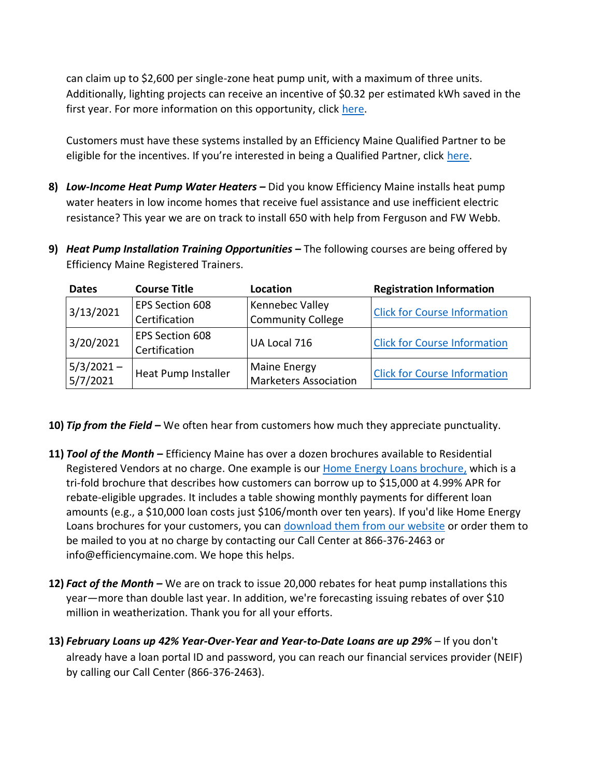can claim up to \$2,600 per single-zone heat pump unit, with a maximum of three units. Additionally, lighting projects can receive an incentive of \$0.32 per estimated kWh saved in the first year. For more information on this opportunity, click [here.](https://www.efficiencymaine.com/at-work/public-sector/cip-fon-004-2021/)

Customers must have these systems installed by an Efficiency Maine Qualified Partner to be eligible for the incentives. If you're interested in being a Qualified Partner, click [here.](https://www.efficiencymaine.com/at-work/qualified-partners/become-a-qualified-partner/)

- **8)** *Low-Income Heat Pump Water Heaters –* Did you know Efficiency Maine installs heat pump water heaters in low income homes that receive fuel assistance and use inefficient electric resistance? This year we are on track to install 650 with help from Ferguson and FW Webb.
- **9)** *Heat Pump Installation Training Opportunities* **–** The following courses are being offered by Efficiency Maine Registered Trainers.

| <b>Dates</b>             | <b>Course Title</b>                     | Location                                            | <b>Registration Information</b>     |  |  |  |  |
|--------------------------|-----------------------------------------|-----------------------------------------------------|-------------------------------------|--|--|--|--|
| 3/13/2021                | EPS Section 608                         | Kennebec Valley                                     | <b>Click for Course Information</b> |  |  |  |  |
|                          | Certification                           | <b>Community College</b>                            |                                     |  |  |  |  |
| 3/20/2021                | <b>EPS Section 608</b><br>Certification | UA Local 716                                        | <b>Click for Course Information</b> |  |  |  |  |
| $5/3/2021 -$<br>5/7/2021 | Heat Pump Installer                     | <b>Maine Energy</b><br><b>Marketers Association</b> | <b>Click for Course Information</b> |  |  |  |  |

- **10)** *Tip from the Field –* We often hear from customers how much they appreciate punctuality.
- **11)** *Tool of the Month –* Efficiency Maine has over a dozen brochures available to Residential Registered Vendors at no charge. One example is our [Home Energy Loans brochure,](https://www.efficiencymaine.com/docs/EM-Home-Energy-Loans-Brochure.pdf) which is a tri-fold brochure that describes how customers can borrow up to \$15,000 at 4.99% APR for rebate-eligible upgrades. It includes a table showing monthly payments for different loan amounts (e.g., a \$10,000 loan costs just \$106/month over ten years). If you'd like Home Energy Loans brochures for your customers, you can [download them from our website](https://www.efficiencymaine.com/docs/EM-Home-Energy-Loans-Brochure.pdf) or order them to be mailed to you at no charge by contacting our Call Center at 866-376-2463 or info@efficiencymaine.com. We hope this helps.
- **12)** *Fact of the Month –* We are on track to issue 20,000 rebates for heat pump installations this year—more than double last year. In addition, we're forecasting issuing rebates of over \$10 million in weatherization. Thank you for all your efforts.
- **13)** *February Loans up 42% Year-Over-Year and Year-to-Date Loans are up 29% –* If you don't already have a loan portal ID and password, you can reach our financial services provider (NEIF) by calling our Call Center (866-376-2463).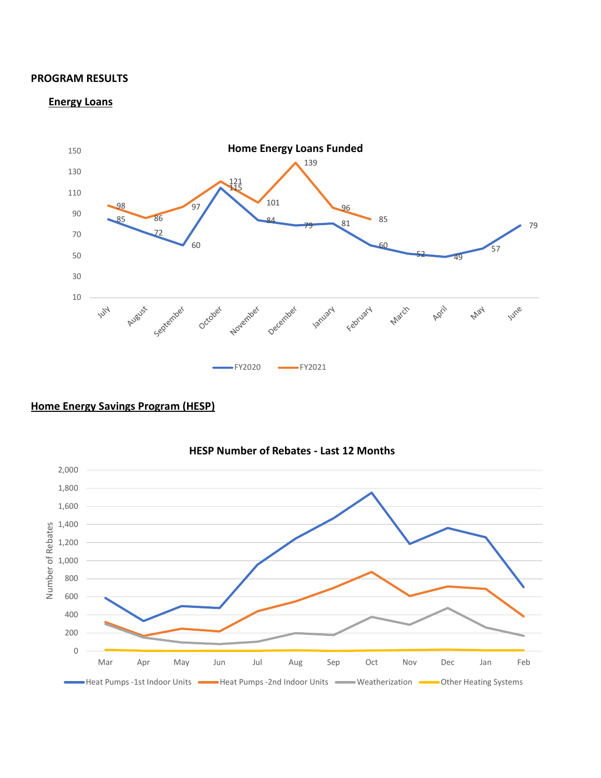#### **PROGRAM RESULTS**

#### **Energy Loans**



### **Home Energy Savings Program (HESP)**



### **HESP Number of Rebates - Last 12 Months**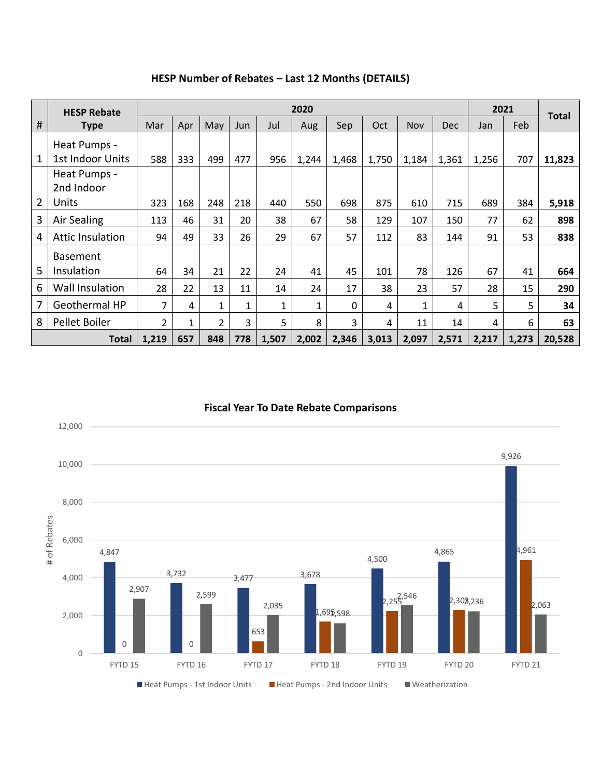|                | <b>HESP Rebate</b>      |                | 2020         |                |            |              |              |          |       |            |            |       | 2021  |              |  |
|----------------|-------------------------|----------------|--------------|----------------|------------|--------------|--------------|----------|-------|------------|------------|-------|-------|--------------|--|
| #              | <b>Type</b>             | Mar            | Apr          | May            | <b>Jun</b> | Jul          | Aug          | Sep      | Oct   | <b>Nov</b> | <b>Dec</b> | Jan   | Feb   | <b>Total</b> |  |
|                | Heat Pumps -            |                |              |                |            |              |              |          |       |            |            |       |       |              |  |
| 1              | 1st Indoor Units        | 588            | 333          | 499            | 477        | 956          | 1,244        | 1,468    | 1,750 | 1,184      | 1,361      | 1,256 | 707   | 11,823       |  |
|                | Heat Pumps -            |                |              |                |            |              |              |          |       |            |            |       |       |              |  |
|                | 2nd Indoor              |                |              |                |            |              |              |          |       |            |            |       |       |              |  |
| $\overline{2}$ | Units                   | 323            | 168          | 248            | 218        | 440          | 550          | 698      | 875   | 610        | 715        | 689   | 384   | 5,918        |  |
| 3              | Air Sealing             | 113            | 46           | 31             | 20         | 38           | 67           | 58       | 129   | 107        | 150        | 77    | 62    | 898          |  |
| 4              | <b>Attic Insulation</b> | 94             | 49           | 33             | 26         | 29           | 67           | 57       | 112   | 83         | 144        | 91    | 53    | 838          |  |
|                | <b>Basement</b>         |                |              |                |            |              |              |          |       |            |            |       |       |              |  |
| 5              | Insulation              | 64             | 34           | 21             | 22         | 24           | 41           | 45       | 101   | 78         | 126        | 67    | 41    | 664          |  |
| 6              | <b>Wall Insulation</b>  | 28             | 22           | 13             | 11         | 14           | 24           | 17       | 38    | 23         | 57         | 28    | 15    | 290          |  |
| 7              | Geothermal HP           | $\overline{7}$ | 4            | $\mathbf{1}$   | 1          | $\mathbf{1}$ | $\mathbf{1}$ | $\Omega$ | 4     | 1          | 4          | 5     | 5.    | 34           |  |
| 8              | Pellet Boiler           | $\overline{2}$ | $\mathbf{1}$ | $\overline{2}$ | 3          | 5            | 8            | 3        | 4     | 11         | 14         | 4     | 6     | 63           |  |
|                | <b>Total</b>            | 1,219          | 657          | 848            | 778        | 1,507        | 2,002        | 2,346    | 3,013 | 2,097      | 2,571      | 2,217 | 1,273 | 20,528       |  |

# **HESP Number of Rebates – Last 12 Months (DETAILS)**

#### **Fiscal Year To Date Rebate Comparisons**

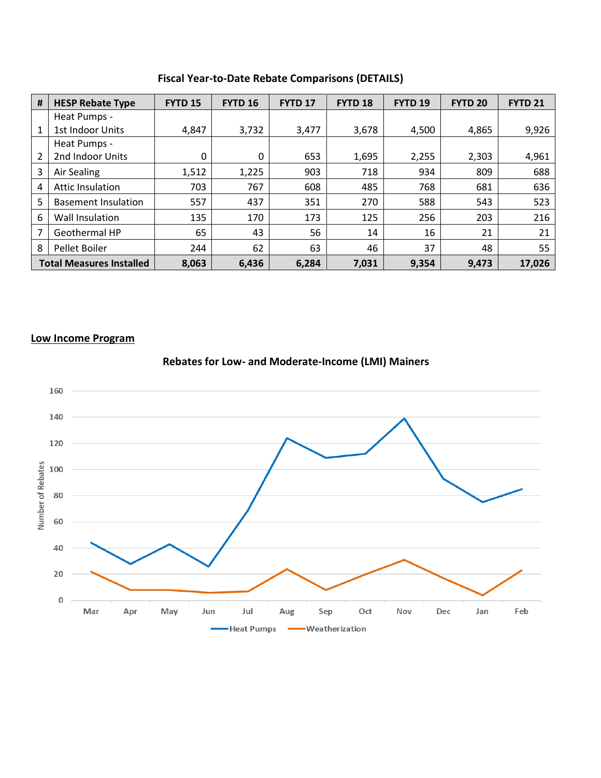| #                               | <b>HESP Rebate Type</b>    | <b>FYTD 15</b> | <b>FYTD 16</b> | <b>FYTD 17</b> | FYTD <sub>18</sub> | <b>FYTD 19</b> | <b>FYTD 20</b> | <b>FYTD 21</b> |
|---------------------------------|----------------------------|----------------|----------------|----------------|--------------------|----------------|----------------|----------------|
|                                 | Heat Pumps -               |                |                |                |                    |                |                |                |
| $\mathbf{1}$                    | 1st Indoor Units           | 4,847          | 3,732          | 3,477          | 3,678              | 4,500          | 4,865          | 9,926          |
|                                 | Heat Pumps -               |                |                |                |                    |                |                |                |
| $\overline{2}$                  | 2nd Indoor Units           | 0              | 0              | 653            | 1,695              | 2,255          | 2,303          | 4,961          |
| 3                               | Air Sealing                | 1,512          | 1,225          | 903            | 718                | 934            | 809            | 688            |
| 4                               | Attic Insulation           | 703            | 767            | 608            | 485                | 768            | 681            | 636            |
| 5                               | <b>Basement Insulation</b> | 557            | 437            | 351            | 270                | 588            | 543            | 523            |
| 6                               | Wall Insulation            | 135            | 170            | 173            | 125                | 256            | 203            | 216            |
| 7                               | Geothermal HP              | 65             | 43             | 56             | 14                 | 16             | 21             | 21             |
| 8                               | Pellet Boiler              | 244            | 62             | 63             | 46                 | 37             | 48             | 55             |
| <b>Total Measures Installed</b> |                            | 8,063          | 6,436          | 6,284          | 7,031              | 9,354          | 9,473          | 17,026         |

**Fiscal Year-to-Date Rebate Comparisons (DETAILS)**

#### **Low Income Program**



**Rebates for Low- and Moderate-Income (LMI) Mainers**